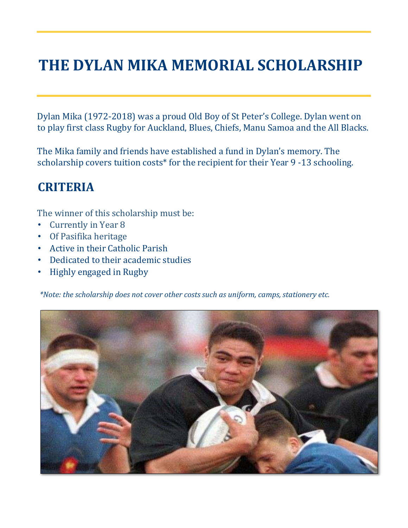# **THE DYLAN MIKA MEMORIAL SCHOLARSHIP**

Dylan Mika (1972-2018) was a proud Old Boy of St Peter's College. Dylan went on to play first class Rugby for Auckland, Blues, Chiefs, Manu Samoa and the All Blacks.

The Mika family and friends have established a fund in Dylan's memory. The scholarship covers tuition costs\* for the recipient for their Year 9 -13 schooling.

# **CRITERIA**

The winner of this scholarship must be:

- Currently in Year 8
- Of Pasifika heritage
- Active in their Catholic Parish
- Dedicated to their academic studies
- Highly engaged in Rugby

*\*Note: the scholarship does not cover other costs such as uniform, camps, stationery etc.*

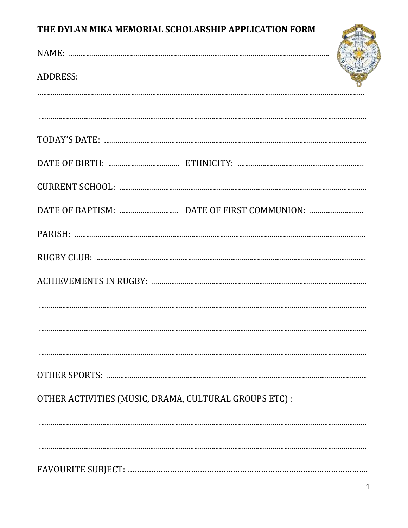### THE DYLAN MIKA MEMORIAL SCHOLARSHIP APPLICATION FORM

| THE DYLAN MIKA MEMORIAL SCHOLARSHIP APPLICATION FORM   |  |
|--------------------------------------------------------|--|
|                                                        |  |
| <b>ADDRESS:</b>                                        |  |
|                                                        |  |
|                                                        |  |
|                                                        |  |
|                                                        |  |
|                                                        |  |
|                                                        |  |
|                                                        |  |
|                                                        |  |
|                                                        |  |
|                                                        |  |
|                                                        |  |
|                                                        |  |
| OTHER ACTIVITIES (MUSIC, DRAMA, CULTURAL GROUPS ETC) : |  |
|                                                        |  |
|                                                        |  |
|                                                        |  |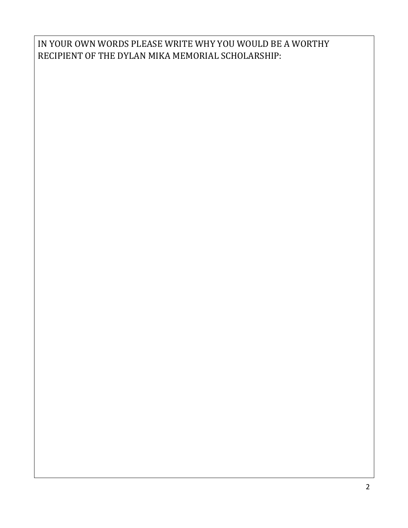#### IN YOUR OWN WORDS PLEASE WRITE WHY YOU WOULD BE A WORTHY RECIPIENT OF THE DYLAN MIKA MEMORIAL SCHOLARSHIP: